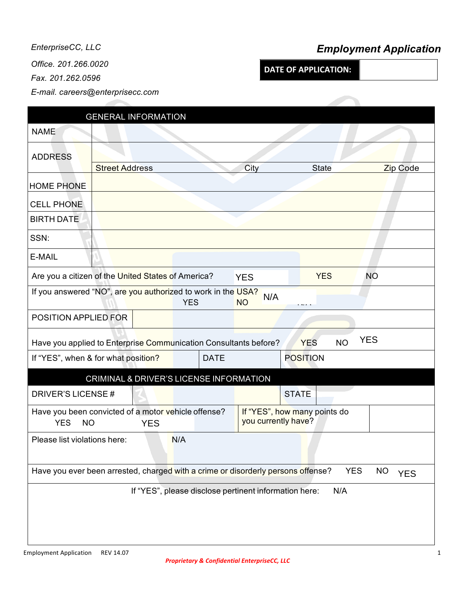*Office. 201.266.0020 Fax. 201.262.0596*

*E-mail. careers@enterprisecc.com*

## *EnterpriseCC, LLC Employment Application*

**DATE OF APPLICATION:** 

|                              |            |                                                              |                                   |                                                                                                                         |                                                                                                                                                                                                   | Zip Code                                                                                                                                                                                                         |
|------------------------------|------------|--------------------------------------------------------------|-----------------------------------|-------------------------------------------------------------------------------------------------------------------------|---------------------------------------------------------------------------------------------------------------------------------------------------------------------------------------------------|------------------------------------------------------------------------------------------------------------------------------------------------------------------------------------------------------------------|
|                              |            |                                                              |                                   |                                                                                                                         |                                                                                                                                                                                                   |                                                                                                                                                                                                                  |
|                              |            |                                                              |                                   |                                                                                                                         |                                                                                                                                                                                                   |                                                                                                                                                                                                                  |
|                              |            |                                                              |                                   |                                                                                                                         |                                                                                                                                                                                                   |                                                                                                                                                                                                                  |
|                              |            |                                                              |                                   |                                                                                                                         |                                                                                                                                                                                                   |                                                                                                                                                                                                                  |
|                              |            |                                                              |                                   |                                                                                                                         |                                                                                                                                                                                                   |                                                                                                                                                                                                                  |
|                              |            |                                                              |                                   |                                                                                                                         | <b>YES</b>                                                                                                                                                                                        | <b>NO</b>                                                                                                                                                                                                        |
|                              |            |                                                              |                                   | N/A<br><b>NO</b>                                                                                                        |                                                                                                                                                                                                   |                                                                                                                                                                                                                  |
| POSITION APPLIED FOR         |            |                                                              |                                   |                                                                                                                         |                                                                                                                                                                                                   |                                                                                                                                                                                                                  |
|                              |            |                                                              |                                   |                                                                                                                         | <b>NO</b><br><b>YES</b>                                                                                                                                                                           | <b>YES</b>                                                                                                                                                                                                       |
|                              |            |                                                              | <b>DATE</b>                       |                                                                                                                         | <b>POSITION</b>                                                                                                                                                                                   |                                                                                                                                                                                                                  |
|                              |            |                                                              |                                   |                                                                                                                         |                                                                                                                                                                                                   |                                                                                                                                                                                                                  |
| DRIVER'S LICENSE#            |            |                                                              |                                   |                                                                                                                         | <b>STATE</b>                                                                                                                                                                                      |                                                                                                                                                                                                                  |
|                              |            |                                                              |                                   |                                                                                                                         |                                                                                                                                                                                                   |                                                                                                                                                                                                                  |
| <b>NO</b>                    | <b>YES</b> |                                                              |                                   |                                                                                                                         |                                                                                                                                                                                                   |                                                                                                                                                                                                                  |
| Please list violations here: |            |                                                              |                                   |                                                                                                                         |                                                                                                                                                                                                   |                                                                                                                                                                                                                  |
|                              |            |                                                              |                                   |                                                                                                                         |                                                                                                                                                                                                   | <b>YES</b><br><b>NO</b><br><b>YES</b>                                                                                                                                                                            |
|                              |            |                                                              |                                   |                                                                                                                         | N/A                                                                                                                                                                                               |                                                                                                                                                                                                                  |
|                              |            |                                                              |                                   |                                                                                                                         |                                                                                                                                                                                                   |                                                                                                                                                                                                                  |
|                              |            |                                                              |                                   |                                                                                                                         |                                                                                                                                                                                                   |                                                                                                                                                                                                                  |
|                              |            |                                                              |                                   |                                                                                                                         |                                                                                                                                                                                                   |                                                                                                                                                                                                                  |
|                              |            | <b>Street Address</b><br>If "YES", when & for what position? | <b>GENERAL INFORMATION</b><br>N/A | Are you a citizen of the United States of America?<br><b>YES</b><br>Have you been convicted of a motor vehicle offense? | City<br><b>YES</b><br>If you answered "NO", are you authorized to work in the USA?<br>Have you applied to Enterprise Communication Consultants before?<br>CRIMINAL & DRIVER'S LICENSE INFORMATION | <b>State</b><br>If "YES", how many points do<br>you currently have?<br>Have you ever been arrested, charged with a crime or disorderly persons offense?<br>If "YES", please disclose pertinent information here: |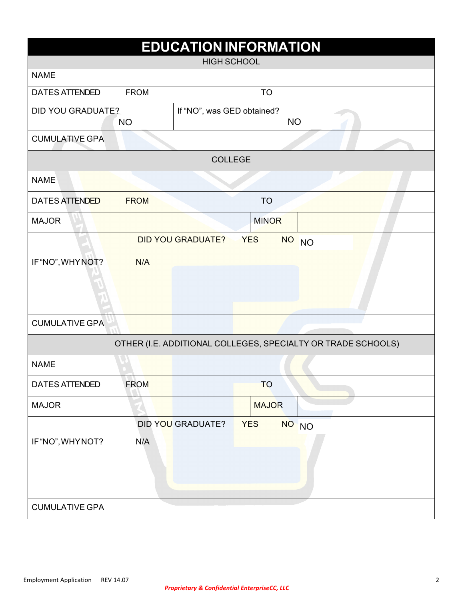| <b>EDUCATION INFORMATION</b> |             |                            |            |              |                                                              |  |
|------------------------------|-------------|----------------------------|------------|--------------|--------------------------------------------------------------|--|
| <b>HIGH SCHOOL</b>           |             |                            |            |              |                                                              |  |
| <b>NAME</b>                  |             |                            |            |              |                                                              |  |
| <b>DATES ATTENDED</b>        | <b>FROM</b> |                            |            | <b>TO</b>    |                                                              |  |
| <b>DID YOU GRADUATE?</b>     | <b>NO</b>   | If "NO", was GED obtained? |            | <b>NO</b>    |                                                              |  |
| <b>CUMULATIVE GPA</b>        |             |                            |            |              |                                                              |  |
|                              |             | <b>COLLEGE</b>             |            |              |                                                              |  |
| <b>NAME</b>                  |             |                            |            |              |                                                              |  |
| <b>DATES ATTENDED</b>        | <b>FROM</b> |                            |            | <b>TO</b>    |                                                              |  |
| <b>MAJOR</b>                 |             |                            |            | <b>MINOR</b> |                                                              |  |
|                              |             | <b>DID YOU GRADUATE?</b>   | <b>YES</b> |              | NO NO                                                        |  |
| IF "NO", WHYNOT?             | N/A         |                            |            |              |                                                              |  |
|                              |             |                            |            |              |                                                              |  |
| <b>CUMULATIVE GPA</b>        |             |                            |            |              |                                                              |  |
|                              |             |                            |            |              | OTHER (I.E. ADDITIONAL COLLEGES, SPECIALTY OR TRADE SCHOOLS) |  |
| <b>NAME</b>                  |             |                            |            |              |                                                              |  |
| <b>DATES ATTENDED</b>        | <b>FROM</b> |                            |            | <b>TO</b>    |                                                              |  |
| <b>MAJOR</b>                 |             |                            |            | <b>MAJOR</b> |                                                              |  |
|                              |             | DID YOU GRADUATE?          | <b>YES</b> |              | NO NO                                                        |  |
| IF "NO", WHYNOT?             | N/A         |                            |            |              |                                                              |  |
| <b>CUMULATIVE GPA</b>        |             |                            |            |              |                                                              |  |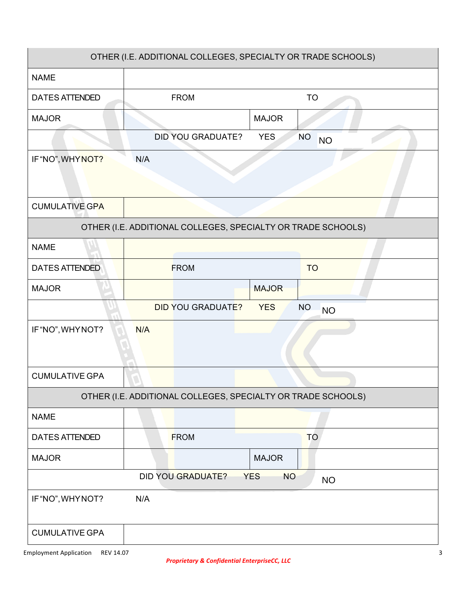|                       | OTHER (I.E. ADDITIONAL COLLEGES, SPECIALTY OR TRADE SCHOOLS) |                         |                        |  |
|-----------------------|--------------------------------------------------------------|-------------------------|------------------------|--|
| <b>NAME</b>           |                                                              |                         |                        |  |
| <b>DATES ATTENDED</b> | <b>FROM</b>                                                  | <b>TO</b>               |                        |  |
| <b>MAJOR</b>          |                                                              | <b>MAJOR</b>            |                        |  |
|                       | <b>DID YOU GRADUATE?</b>                                     | <b>YES</b>              | <b>NO</b><br><b>NO</b> |  |
| IF "NO", WHY NOT?     | N/A                                                          |                         |                        |  |
| <b>CUMULATIVE GPA</b> |                                                              |                         |                        |  |
|                       | OTHER (I.E. ADDITIONAL COLLEGES, SPECIALTY OR TRADE SCHOOLS) |                         |                        |  |
| <b>NAME</b>           |                                                              |                         |                        |  |
| <b>DATES ATTENDED</b> | <b>FROM</b>                                                  |                         | <b>TO</b>              |  |
| <b>MAJOR</b>          |                                                              | <b>MAJOR</b>            |                        |  |
|                       | <b>DID YOU GRADUATE?</b>                                     | <b>YES</b>              | <b>NO</b><br><b>NO</b> |  |
| IF "NO", WHY NOT?     | N/A                                                          |                         |                        |  |
| <b>CUMULATIVE GPA</b> |                                                              |                         |                        |  |
|                       | OTHER (I.E. ADDITIONAL COLLEGES, SPECIALTY OR TRADE SCHOOLS) |                         |                        |  |
| <b>NAME</b>           |                                                              |                         |                        |  |
| <b>DATES ATTENDED</b> | <b>FROM</b>                                                  |                         | <b>TO</b>              |  |
| <b>MAJOR</b>          |                                                              | <b>MAJOR</b>            |                        |  |
|                       | <b>DID YOU GRADUATE?</b>                                     | <b>YES</b><br><b>NO</b> | <b>NO</b>              |  |
| IF "NO", WHY NOT?     | N/A                                                          |                         |                        |  |
| <b>CUMULATIVE GPA</b> |                                                              |                         |                        |  |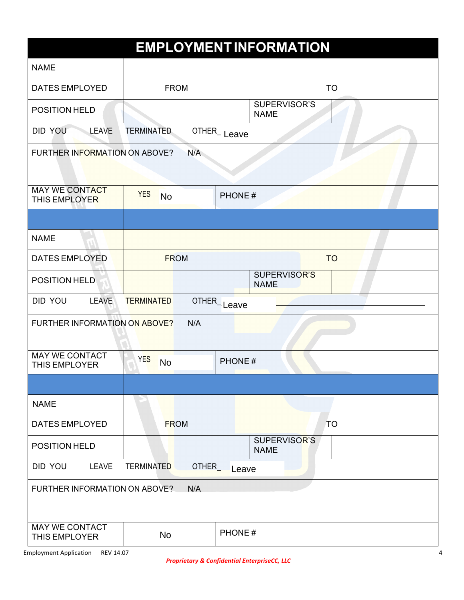|                                               |                         |              | <b>EMPLOYMENT INFORMATION</b> |           |  |
|-----------------------------------------------|-------------------------|--------------|-------------------------------|-----------|--|
| <b>NAME</b>                                   |                         |              |                               |           |  |
| <b>DATES EMPLOYED</b>                         | <b>FROM</b>             |              |                               | <b>TO</b> |  |
| POSITION HELD                                 |                         |              | SUPERVISOR'S<br><b>NAME</b>   |           |  |
| <b>DID YOU</b><br><b>LEAVE</b>                | <b>TERMINATED</b>       |              | OTHER_Leave                   |           |  |
| FURTHER INFORMATION ON ABOVE?                 |                         | N/A          |                               |           |  |
| <b>MAY WE CONTACT</b><br>THIS EMPLOYER        | <b>YES</b><br><b>No</b> |              | PHONE#                        |           |  |
|                                               |                         |              |                               |           |  |
| <b>NAME</b>                                   |                         |              |                               |           |  |
| <b>DATES EMPLOYED</b>                         | <b>FROM</b>             |              |                               | <b>TO</b> |  |
| POSITION HELD                                 |                         |              | SUPERVISOR'S<br><b>NAME</b>   |           |  |
| DID YOU<br><b>LEAVE</b>                       | <b>TERMINATED</b>       |              | OTHER_Leave                   |           |  |
| FURTHER INFORMATION ON ABOVE?                 |                         | N/A          |                               |           |  |
| <b>MAY WE CONTACT</b><br><b>THIS EMPLOYER</b> | <b>YES</b><br><b>No</b> |              | PHONE#                        |           |  |
|                                               |                         |              |                               |           |  |
| <b>NAME</b>                                   |                         |              |                               |           |  |
| <b>DATES EMPLOYED</b>                         | <b>FROM</b>             |              |                               | <b>TO</b> |  |
| POSITION HELD                                 |                         |              | SUPERVISOR'S<br><b>NAME</b>   |           |  |
| DID YOU<br>LEAVE                              | <b>TERMINATED</b>       | <b>OTHER</b> | Leave                         |           |  |
| FURTHER INFORMATION ON ABOVE?                 |                         | N/A          |                               |           |  |
| <b>MAY WE CONTACT</b><br><b>THIS EMPLOYER</b> | <b>No</b>               |              | PHONE#                        |           |  |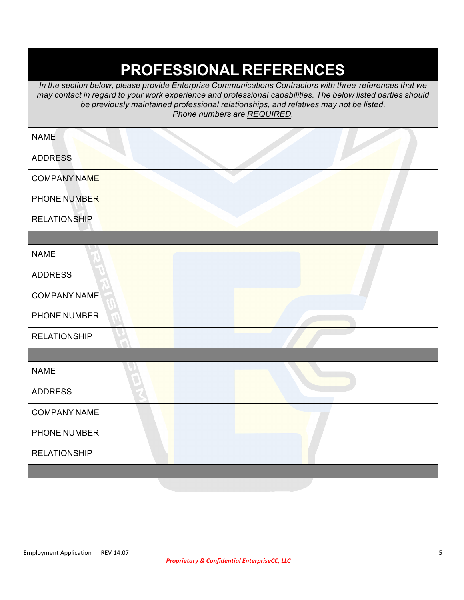## **PROFESSIONAL REFERENCES**

*In the section below, please provide Enterprise Communications Contractors with three references that we may contact in regard to your work experience and professional capabilities. The below listed parties should be previously maintained professional relationships, and relatives may not be listed. Phone numbers are REQUIRED.*

| <b>NAME</b>         |  |  |  |
|---------------------|--|--|--|
| <b>ADDRESS</b>      |  |  |  |
| <b>COMPANY NAME</b> |  |  |  |
| PHONE NUMBER        |  |  |  |
| <b>RELATIONSHIP</b> |  |  |  |
|                     |  |  |  |
| <b>NAME</b>         |  |  |  |
| <b>ADDRESS</b>      |  |  |  |
| <b>COMPANY NAME</b> |  |  |  |
| PHONE NUMBER        |  |  |  |
| <b>RELATIONSHIP</b> |  |  |  |
|                     |  |  |  |
| <b>NAME</b>         |  |  |  |
| <b>ADDRESS</b>      |  |  |  |
| <b>COMPANY NAME</b> |  |  |  |
| PHONE NUMBER        |  |  |  |
| <b>RELATIONSHIP</b> |  |  |  |
|                     |  |  |  |